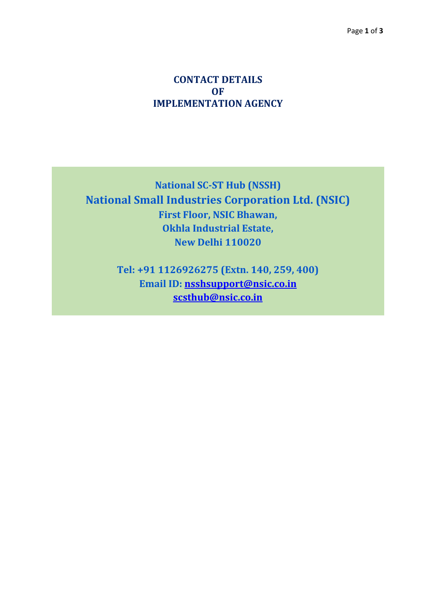## **CONTACT DETAILS OF IMPLEMENTATION AGENCY**

**National SC-ST Hub (NSSH) National Small Industries Corporation Ltd. (NSIC) First Floor, NSIC Bhawan, Okhla Industrial Estate, New Delhi 110020**

> **Tel: +91 1126926275 (Extn. 140, 259, 400) Email ID: [nsshsupport@nsic.co.in](mailto:nsshsupport@nsic.co.in) [scsthub@nsic.co.in](mailto:scsthub@nsic.co.in)**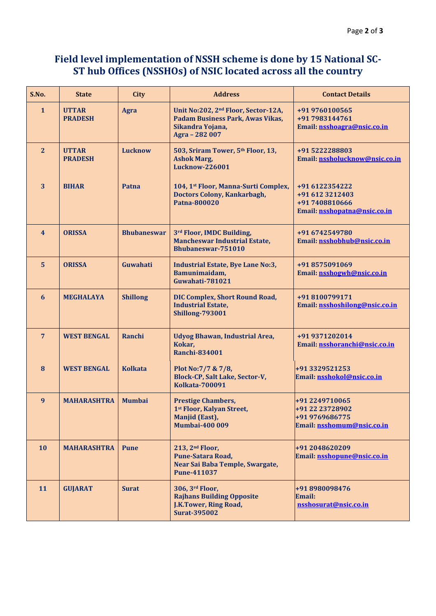## **Field level implementation of NSSH scheme is done by 15 National SC-ST hub Offices (NSSHOs) of NSIC located across all the country**

| S.No.                   | <b>State</b>                   | <b>City</b>        | <b>Address</b>                                                                                                            | <b>Contact Details</b>                                                              |
|-------------------------|--------------------------------|--------------------|---------------------------------------------------------------------------------------------------------------------------|-------------------------------------------------------------------------------------|
| $\mathbf{1}$            | <b>UTTAR</b><br><b>PRADESH</b> | <b>Agra</b>        | Unit No:202, 2 <sup>nd</sup> Floor, Sector-12A,<br>Padam Business Park, Awas Vikas,<br>Sikandra Yojana,<br>Agra - 282 007 | +91 9760100565<br>+91 7983144761<br>Email: nsshoagra@nsic.co.in                     |
| $\overline{2}$          | <b>UTTAR</b><br><b>PRADESH</b> | <b>Lucknow</b>     | 503, Sriram Tower, 5th Floor, 13,<br><b>Ashok Marg,</b><br><b>Lucknow-226001</b>                                          | +91 5222288803<br>Email: nssholucknow@nsic.co.in                                    |
| $\overline{\mathbf{3}}$ | <b>BIHAR</b>                   | Patna              | 104, 1st Floor, Manna-Surti Complex,<br><b>Doctors Colony, Kankarbagh,</b><br>Patna-800020                                | +91 6122354222<br>+91 612 3212403<br>+91 7408810666<br>Email: nsshopatna@nsic.co.in |
| $\overline{\mathbf{4}}$ | <b>ORISSA</b>                  | <b>Bhubaneswar</b> | 3rd Floor, IMDC Building,<br><b>Mancheswar Industrial Estate,</b><br><b>Bhubaneswar-751010</b>                            | +91 6742549780<br>Email: nsshobhub@nsic.co.in                                       |
| $5\phantom{a}$          | <b>ORISSA</b>                  | Guwahati           | <b>Industrial Estate, Bye Lane No:3,</b><br>Bamunimaidam,<br>Guwahati-781021                                              | +91 8575091069<br>Email: nsshogwh@nsic.co.in                                        |
| 6                       | <b>MEGHALAYA</b>               | <b>Shillong</b>    | <b>DIC Complex, Short Round Road,</b><br><b>Industrial Estate,</b><br><b>Shillong-793001</b>                              | +91 8100799171<br>Email: nsshoshilong@nsic.co.in                                    |
| $\overline{7}$          | <b>WEST BENGAL</b>             | Ranchi             | <b>Udyog Bhawan, Industrial Area,</b><br>Kokar,<br><b>Ranchi-834001</b>                                                   | +91 9371202014<br>Email: nsshoranchi@nsic.co.in                                     |
| 8                       | <b>WEST BENGAL</b>             | <b>Kolkata</b>     | Plot No: 7/7 & 7/8,<br>Block-CP, Salt Lake, Sector-V,<br><b>Kolkata-700091</b>                                            | +91 3329521253<br>Email: nsshokol@nsic.co.in                                        |
| $\boldsymbol{9}$        | <b>MAHARASHTRA</b>             | <b>Mumbai</b>      | <b>Prestige Chambers,</b><br>1st Floor, Kalyan Street,<br>Manjid (East),<br><b>Mumbai-400 009</b>                         | +91 2249710065<br>+91 22 23728902<br>+91 9769686775<br>Email: nsshomum@nsic.co.in   |
| 10                      | <b>MAHARASHTRA</b>             | <b>Pune</b>        | 213, 2 <sup>nd</sup> Floor,<br>Pune-Satara Road,<br>Near Sai Baba Temple, Swargate,<br><b>Pune-411037</b>                 | +91 2048620209<br>Email: nsshopune@nsic.co.in                                       |
| 11                      | <b>GUJARAT</b>                 | <b>Surat</b>       | 306, 3rd Floor,<br><b>Rajhans Building Opposite</b><br><b>J.K.Tower, Ring Road,</b><br><b>Surat-395002</b>                | +91 8980098476<br><b>Email:</b><br>nsshosurat@nsic.co.in                            |